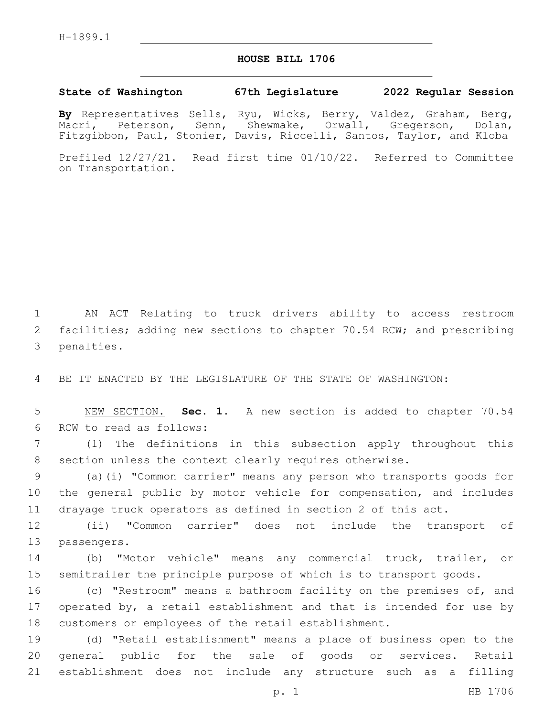## **HOUSE BILL 1706**

## **State of Washington 67th Legislature 2022 Regular Session**

**By** Representatives Sells, Ryu, Wicks, Berry, Valdez, Graham, Berg, Macri, Peterson, Senn, Shewmake, Orwall, Gregerson, Dolan, Fitzgibbon, Paul, Stonier, Davis, Riccelli, Santos, Taylor, and Kloba

Prefiled 12/27/21. Read first time 01/10/22. Referred to Committee on Transportation.

1 AN ACT Relating to truck drivers ability to access restroom 2 facilities; adding new sections to chapter 70.54 RCW; and prescribing 3 penalties.

4 BE IT ENACTED BY THE LEGISLATURE OF THE STATE OF WASHINGTON:

5 NEW SECTION. **Sec. 1.** A new section is added to chapter 70.54 6 RCW to read as follows:

7 (1) The definitions in this subsection apply throughout this 8 section unless the context clearly requires otherwise.

9 (a)(i) "Common carrier" means any person who transports goods for 10 the general public by motor vehicle for compensation, and includes 11 drayage truck operators as defined in section 2 of this act.

12 (ii) "Common carrier" does not include the transport of 13 passengers.

14 (b) "Motor vehicle" means any commercial truck, trailer, or 15 semitrailer the principle purpose of which is to transport goods.

16 (c) "Restroom" means a bathroom facility on the premises of, and 17 operated by, a retail establishment and that is intended for use by 18 customers or employees of the retail establishment.

19 (d) "Retail establishment" means a place of business open to the 20 general public for the sale of goods or services. Retail 21 establishment does not include any structure such as a filling

p. 1 HB 1706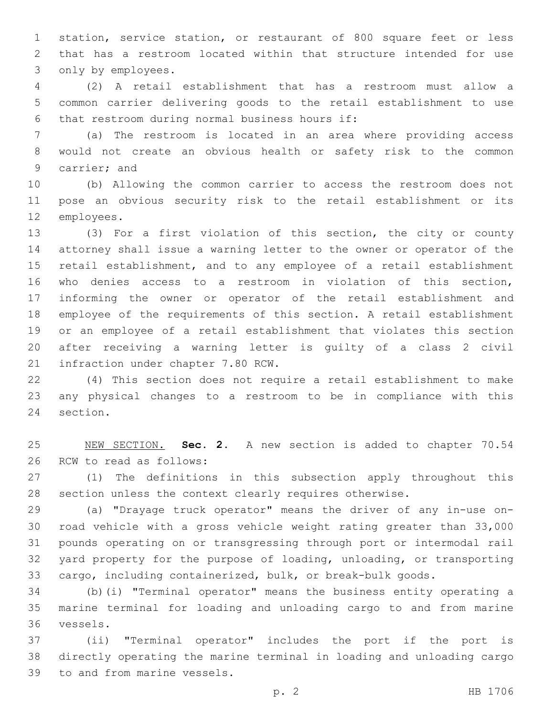station, service station, or restaurant of 800 square feet or less that has a restroom located within that structure intended for use 3 only by employees.

 (2) A retail establishment that has a restroom must allow a common carrier delivering goods to the retail establishment to use 6 that restroom during normal business hours if:

 (a) The restroom is located in an area where providing access would not create an obvious health or safety risk to the common 9 carrier; and

 (b) Allowing the common carrier to access the restroom does not pose an obvious security risk to the retail establishment or its 12 employees.

 (3) For a first violation of this section, the city or county attorney shall issue a warning letter to the owner or operator of the retail establishment, and to any employee of a retail establishment who denies access to a restroom in violation of this section, informing the owner or operator of the retail establishment and employee of the requirements of this section. A retail establishment or an employee of a retail establishment that violates this section after receiving a warning letter is guilty of a class 2 civil 21 infraction under chapter 7.80 RCW.

 (4) This section does not require a retail establishment to make any physical changes to a restroom to be in compliance with this 24 section.

 NEW SECTION. **Sec. 2.** A new section is added to chapter 70.54 26 RCW to read as follows:

 (1) The definitions in this subsection apply throughout this section unless the context clearly requires otherwise.

 (a) "Drayage truck operator" means the driver of any in-use on- road vehicle with a gross vehicle weight rating greater than 33,000 pounds operating on or transgressing through port or intermodal rail yard property for the purpose of loading, unloading, or transporting cargo, including containerized, bulk, or break-bulk goods.

 (b)(i) "Terminal operator" means the business entity operating a marine terminal for loading and unloading cargo to and from marine vessels.36

 (ii) "Terminal operator" includes the port if the port is directly operating the marine terminal in loading and unloading cargo 39 to and from marine vessels.